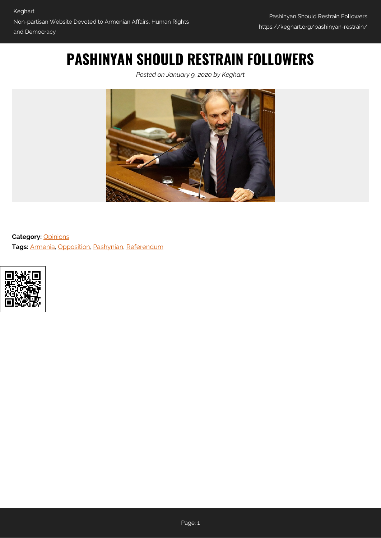# **PASHINYAN SHOULD RESTRAIN FOLLOWERS**

*Posted on January 9, 2020 by Keghart*



**Category:** [Opinions](https://keghart.org/category/opinions/) **Tags:** [Armenia,](https://keghart.org/tag/armenia/) [Opposition,](https://keghart.org/tag/opposition/) [Pashynian,](https://keghart.org/tag/pashynian/) [Referendum](https://keghart.org/tag/referendum/)

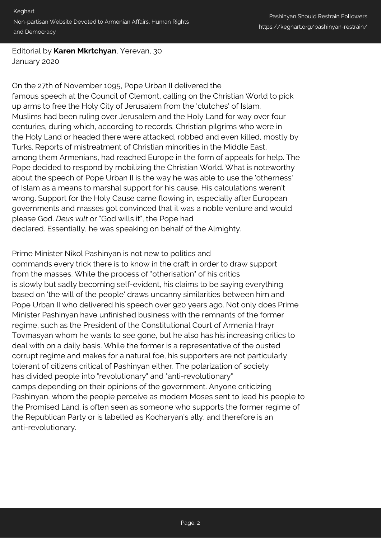### Editorial by **Karen Mkrtchyan**, Yerevan, 30 January 2020

On the 27th of November 1095, Pope Urban II delivered the famous speech at the Council of Clemont, calling on the Christian World to pick up arms to free the Holy City of Jerusalem from the 'clutches' of Islam. Muslims had been ruling over Jerusalem and the Holy Land for way over four centuries, during which, according to records, Christian pilgrims who were in the Holy Land or headed there were attacked, robbed and even killed, mostly by Turks. Reports of mistreatment of Christian minorities in the Middle East, among them Armenians, had reached Europe in the form of appeals for help. The Pope decided to respond by mobilizing the Christian World. What is noteworthy about the speech of Pope Urban II is the way he was able to use the 'otherness' of Islam as a means to marshal support for his cause. His calculations weren't wrong. Support for the Holy Cause came flowing in, especially after European governments and masses got convinced that it was a noble venture and would please God. *Deus vult* or "God wills it", the Pope had declared. Essentially, he was speaking on behalf of the Almighty.

Prime Minister Nikol Pashinyan is not new to politics and commands every trick there is to know in the craft in order to draw support from the masses. While the process of "otherisation" of his critics is slowly but sadly becoming self-evident, his claims to be saying everything based on 'the will of the people' draws uncanny similarities between him and Pope Urban II who delivered his speech over 920 years ago. Not only does Prime Minister Pashinyan have unfinished business with the remnants of the former regime, such as the President of the Constitutional Court of Armenia Hrayr Tovmasyan whom he wants to see gone, but he also has his increasing critics to deal with on a daily basis. While the former is a representative of the ousted corrupt regime and makes for a natural foe, his supporters are not particularly tolerant of citizens critical of Pashinyan either. The polarization of society has divided people into "revolutionary" and "anti-revolutionary" camps depending on their opinions of the government. Anyone criticizing Pashinyan, whom the people perceive as modern Moses sent to lead his people to the Promised Land, is often seen as someone who supports the former regime of the Republican Party or is labelled as Kocharyan's ally, and therefore is an anti-revolutionary.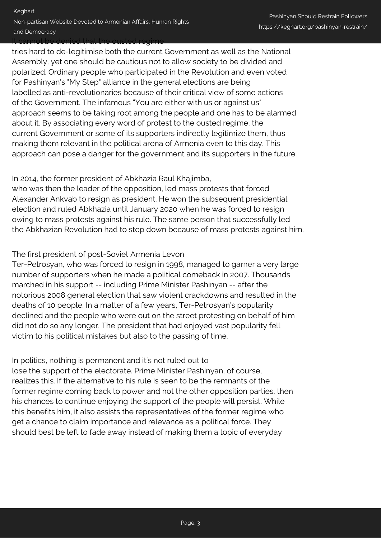It cannot be denied that the ousted regime tries hard to de-legitimise both the current Government as well as the National Assembly, yet one should be cautious not to allow society to be divided and

polarized. Ordinary people who participated in the Revolution and even voted for Pashinyan's "My Step" alliance in the general elections are being labelled as anti-revolutionaries because of their critical view of some actions of the Government. The infamous "You are either with us or against us" approach seems to be taking root among the people and one has to be alarmed about it. By associating every word of protest to the ousted regime, the current Government or some of its supporters indirectly legitimize them, thus making them relevant in the political arena of Armenia even to this day. This approach can pose a danger for the government and its supporters in the future.

#### In 2014, the former president of Abkhazia Raul Khajimba,

who was then the leader of the opposition, led mass protests that forced Alexander Ankvab to resign as president. He won the subsequent presidential election and ruled Abkhazia until January 2020 when he was forced to resign owing to mass protests against his rule. The same person that successfully led the Abkhazian Revolution had to step down because of mass protests against him.

#### The first president of post-Soviet Armenia Levon

Ter-Petrosyan, who was forced to resign in 1998, managed to garner a very large number of supporters when he made a political comeback in 2007. Thousands marched in his support -- including Prime Minister Pashinyan -- after the notorious 2008 general election that saw violent crackdowns and resulted in the deaths of 10 people. In a matter of a few years, Ter-Petrosyan's popularity declined and the people who were out on the street protesting on behalf of him did not do so any longer. The president that had enjoyed vast popularity fell victim to his political mistakes but also to the passing of time.

In politics, nothing is permanent and it's not ruled out to

lose the support of the electorate. Prime Minister Pashinyan, of course, realizes this. If the alternative to his rule is seen to be the remnants of the former regime coming back to power and not the other opposition parties, then his chances to continue enjoying the support of the people will persist. While this benefits him, it also assists the representatives of the former regime who get a chance to claim importance and relevance as a political force. They should best be left to fade away instead of making them a topic of everyday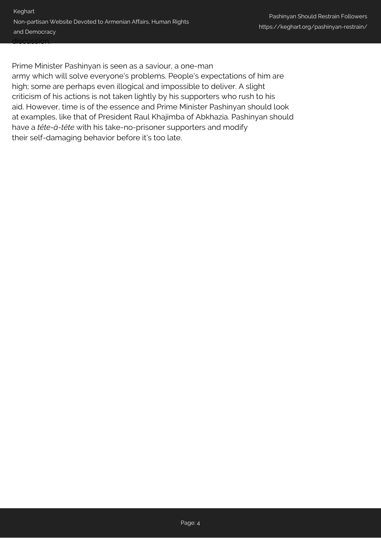Prime Minister Pashinyan is seen as a saviour, a one-man army which will solve everyone's problems. People's expectations of him are high; some are perhaps even illogical and impossible to deliver. A slight criticism of his actions is not taken lightly by his supporters who rush to his aid. However, time is of the essence and Prime Minister Pashinyan should look at examples, like that of President Raul Khajimba of Abkhazia. Pashinyan should have a *tête-à-tête* with his take-no-prisoner supporters and modify their self-damaging behavior before it's too late.